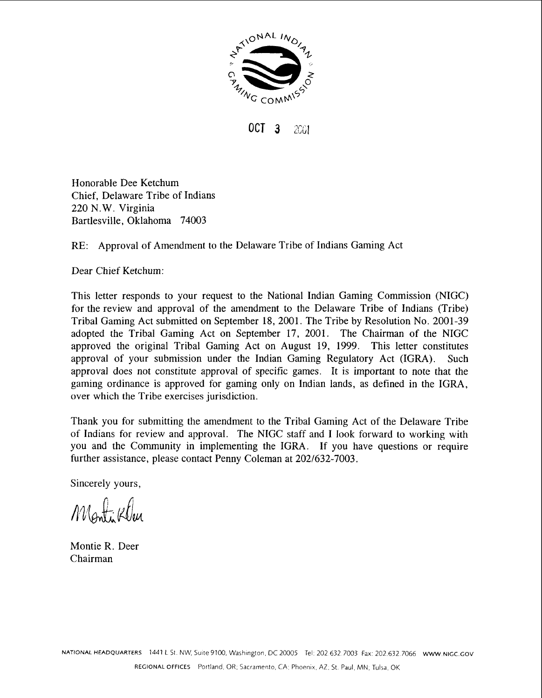

**OCT 3** 2001

Honorable Dee Ketchum Chief, Delaware Tribe of Indians 220 N. W. Virginia Bartlesville, Oklahoma 74003

# RE: Approval of Amendment to the Delaware Tribe of Indians Gaming Act

Dear Chief Ketchum:

This letter responds to your request to the National Indian Gaming Commission (NIGC) for the review and approval of the amendment to the Delaware Tribe of Indians (Tribe) Tribal Gaming Act submitted on September 18, 2001. The Tribe by Resolution No. 2001-39 adopted the Tribal Gaming Act on September 17, 2001. The Chairman of the NIGC approved the original Tribal Gaming Act on August 19, 1999. This letter constitutes approval of your submission under the Indian Gaming Regulatory Act (IGRA). Such approval does not constitute approval of specific games. It is important to note that the gaming ordinance is approved for gaming only on Indian lands, as defined in the IGRA, over which the Tribe exercises jurisdiction.

Thank you for submitting the amendment to the Tribal Gaming Act of the Delaware Tribe of Indians for review and approval. The NIGC staff and I look forward to working with you and the Community in implementing the IGRA. If you have questions or require further assistance, please contact Penny Coleman at 202/632-7003.

Sincerely yours,

Montikla

Montie R. Deer Chairman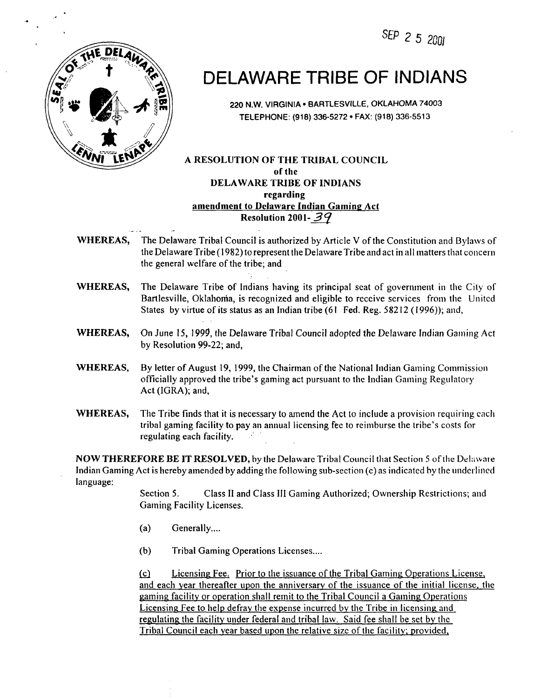SEP 2 5 2001



.- . -

# DELAWARE TRIBE OF INDIANS

**220 N.W. VIRGINIA BARTLESVILLE, OKLAHOMA 74003 TELEPHONE: (918) 336-5272 FAX: (918) 336-551 3** 

## **A RESOLUTION OF THE TRIBAL COUNCIL of tlie DELAWARE TRIBE OF INDIANS regarding amendment to Delaware Indian Gaming Act Resolution 2001-39**

- **WHEREAS,** The Delaware Tribal Council is authorized by Article V of the Constitution and Bylaws of the Delaware Tribe  $(1982)$  to represent the Delaware Tribe and act in all matters that concern the general welfare of the tribe; and
- **WHEREAS,** The Delaware Tribe of Indians having its principal seat of government in the City of Bartlesville, Oklahoma, is recognized and eligible to receive services from the United States by virtue of its status as an Indian tribe (61 Fed. Reg. 58212 (1996)); and,
- **WHEREAS,** On June 15, 1999, the Delaware Tribal Council adopted the Delawarc Indian Gaming Act by Resolution 99-22; and,
- **WHEREAS,** By letter of August 19, 1999, the Chairman of the National Indian Gaming Commission officially approved tlie tribe's gaming act pursuant to tlie Indian Gaming Regulatory Act (IGRA); and,
- **WHEREAS,** The Tribe finds that it is necessary to amend the Act to include a provision requiring cacli tribal gaming facility to pay an annual licensing fee to reimburse the tribe's costs for regulating each facility.

**NOW THEREFORE BE IT RESOLVED, by the Delaware Tribal Council that Section 5 of the Delaware** Indian Gaming Act is hereby amended by adding the following sub-section  $(c)$  as indicated by the underlined language:

> Section 5. Class **I1** and Class **I11** Gaming Authorized; Ownership Restrictions; and Gaming Facility Licenses.

- $(a)$  Generally ....
- (b) Tribal Gaming Operations Licenses....

Licensing Fee. Prior to the issuance of the Tribal Gaming Operations License,  $(c)$ and each year thereafter upon the anniversary of the issuance of the initial license, the gaming. facility or operation shall remit to the Tribal Council a Gaming Operations Licensing Fee to help defray the expense incurred by the Tribe in licensing and regulating the facility under federal and tribal law. Said fee shall be set by the Tribal Council each vear based upon the relative sizc of the facility; provided,